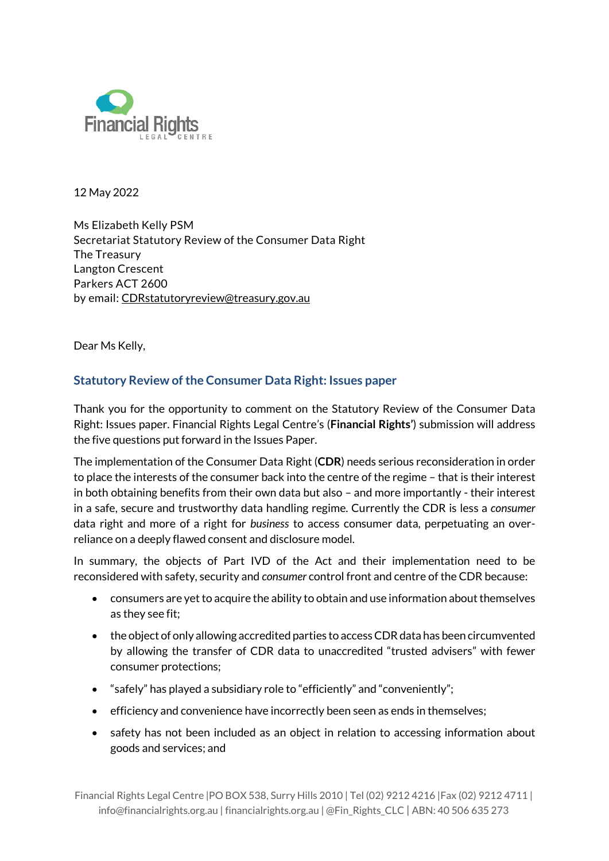

12 May 2022

Ms Elizabeth Kelly PSM Secretariat Statutory Review of the Consumer Data Right The Treasury Langton Crescent Parkers ACT 2600 by email: [CDRstatutoryreview@treasury.gov.au](mailto:CDRstatutoryreview@treasury.gov.au)

Dear Ms Kelly,

# **Statutory Review of the Consumer Data Right: Issues paper**

Thank you for the opportunity to comment on the Statutory Review of the Consumer Data Right: Issues paper. Financial Rights Legal Centre's (**Financial Rights'**) submission will address the five questions put forward in the Issues Paper.

The implementation of the Consumer Data Right (**CDR**) needs serious reconsideration in order to place the interests of the consumer back into the centre of the regime – that is their interest in both obtaining benefits from their own data but also – and more importantly - their interest in a safe, secure and trustworthy data handling regime. Currently the CDR is less a *consumer* data right and more of a right for *business* to access consumer data, perpetuating an overreliance on a deeply flawed consent and disclosure model.

In summary, the objects of Part IVD of the Act and their implementation need to be reconsidered with safety, security and *consumer* control front and centre of the CDR because:

- consumers are yet to acquire the ability to obtain and use information about themselves as they see fit;
- the object of only allowing accredited parties to access CDR data has been circumvented by allowing the transfer of CDR data to unaccredited "trusted advisers" with fewer consumer protections;
- "safely" has played a subsidiary role to "efficiently" and "conveniently";
- efficiency and convenience have incorrectly been seen as ends in themselves;
- safety has not been included as an object in relation to accessing information about goods and services; and

Financial Rights Legal Centre |PO BOX 538, Surry Hills 2010 | Tel (02) 9212 4216 |Fax (02) 9212 4711 | info@financialrights.org.au | financialrights.org.au | @Fin\_Rights\_CLC | ABN: 40 506 635 273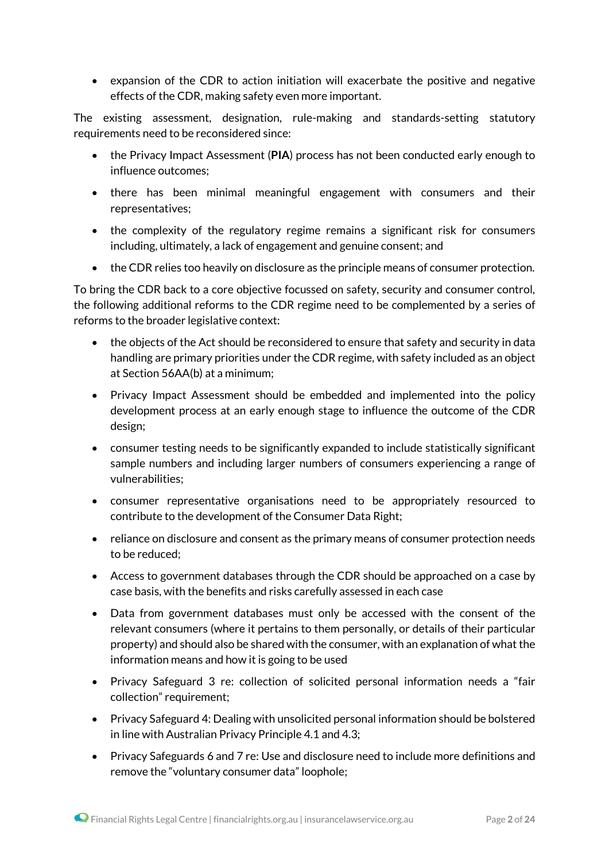expansion of the CDR to action initiation will exacerbate the positive and negative effects of the CDR, making safety even more important.

The existing assessment, designation, rule-making and standards-setting statutory requirements need to be reconsidered since:

- the Privacy Impact Assessment (**PIA**) process has not been conducted early enough to influence outcomes;
- there has been minimal meaningful engagement with consumers and their representatives;
- the complexity of the regulatory regime remains a significant risk for consumers including, ultimately, a lack of engagement and genuine consent; and
- the CDR relies too heavily on disclosure as the principle means of consumer protection.

To bring the CDR back to a core objective focussed on safety, security and consumer control, the following additional reforms to the CDR regime need to be complemented by a series of reforms to the broader legislative context:

- the objects of the Act should be reconsidered to ensure that safety and security in data handling are primary priorities under the CDR regime, with safety included as an object at Section 56AA(b) at a minimum;
- Privacy Impact Assessment should be embedded and implemented into the policy development process at an early enough stage to influence the outcome of the CDR design;
- consumer testing needs to be significantly expanded to include statistically significant sample numbers and including larger numbers of consumers experiencing a range of vulnerabilities;
- consumer representative organisations need to be appropriately resourced to contribute to the development of the Consumer Data Right;
- reliance on disclosure and consent as the primary means of consumer protection needs to be reduced;
- Access to government databases through the CDR should be approached on a case by case basis, with the benefits and risks carefully assessed in each case
- Data from government databases must only be accessed with the consent of the relevant consumers (where it pertains to them personally, or details of their particular property) and should also be shared with the consumer, with an explanation of what the information means and how it is going to be used
- Privacy Safeguard 3 re: collection of solicited personal information needs a "fair collection" requirement;
- Privacy Safeguard 4: Dealing with unsolicited personal information should be bolstered in line with Australian Privacy Principle 4.1 and 4.3;
- Privacy Safeguards 6 and 7 re: Use and disclosure need to include more definitions and remove the "voluntary consumer data" loophole;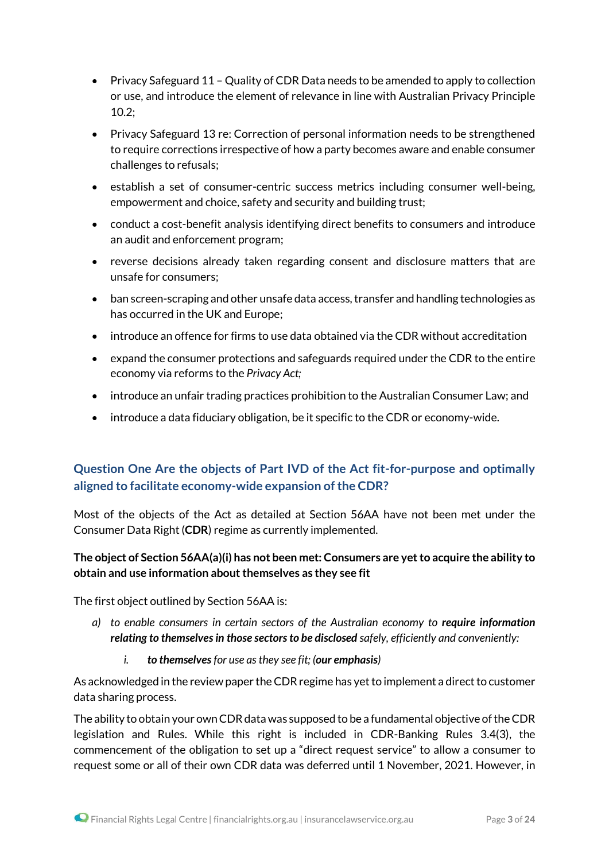- Privacy Safeguard 11 Quality of CDR Data needs to be amended to apply to collection or use, and introduce the element of relevance in line with Australian Privacy Principle 10.2;
- Privacy Safeguard 13 re: Correction of personal information needs to be strengthened to require corrections irrespective of how a party becomes aware and enable consumer challenges to refusals;
- establish a set of consumer-centric success metrics including consumer well-being, empowerment and choice, safety and security and building trust;
- conduct a cost-benefit analysis identifying direct benefits to consumers and introduce an audit and enforcement program;
- reverse decisions already taken regarding consent and disclosure matters that are unsafe for consumers;
- ban screen-scraping and other unsafe data access, transfer and handling technologies as has occurred in the UK and Europe;
- introduce an offence for firms to use data obtained via the CDR without accreditation
- expand the consumer protections and safeguards required under the CDR to the entire economy via reforms to the *Privacy Act;*
- introduce an unfair trading practices prohibition to the Australian Consumer Law; and
- introduce a data fiduciary obligation, be it specific to the CDR or economy-wide.

# **Question One Are the objects of Part IVD of the Act fit-for-purpose and optimally aligned to facilitate economy-wide expansion of the CDR?**

Most of the objects of the Act as detailed at Section 56AA have not been met under the Consumer Data Right (**CDR**) regime as currently implemented.

### **The object of Section 56AA(a)(i) has not been met: Consumers are yet to acquire the ability to obtain and use information about themselves as they see fit**

The first object outlined by Section 56AA is:

- *a) to enable consumers in certain sectors of the Australian economy to require information relating to themselvesin those sectorsto be disclosed safely, efficiently and conveniently:*
	- *i. to themselves for use asthey see fit; (our emphasis)*

As acknowledged in the review paper the CDR regime has yet to implement a direct to customer data sharing process.

The ability to obtain your own CDR data was supposed to be a fundamental objective of the CDR legislation and Rules. While this right is included in CDR-Banking Rules 3.4(3), the commencement of the obligation to set up a "direct request service" to allow a consumer to request some or all of their own CDR data was deferred until 1 November, 2021. However, in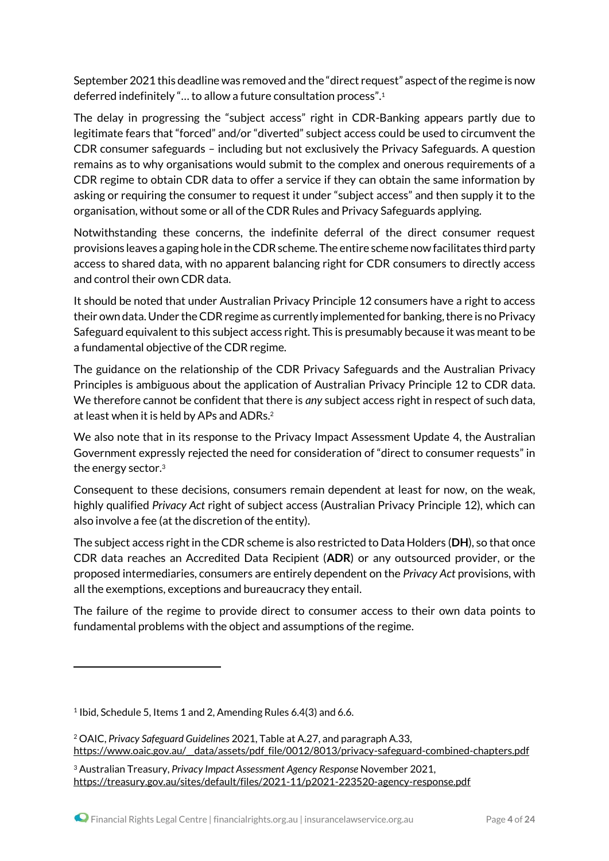September 2021 this deadline was removed and the "direct request" aspect of the regime is now deferred indefinitely "… to allow a future consultation process".<sup>1</sup>

The delay in progressing the "subject access" right in CDR-Banking appears partly due to legitimate fears that "forced" and/or "diverted" subject access could be used to circumvent the CDR consumer safeguards – including but not exclusively the Privacy Safeguards. A question remains as to why organisations would submit to the complex and onerous requirements of a CDR regime to obtain CDR data to offer a service if they can obtain the same information by asking or requiring the consumer to request it under "subject access" and then supply it to the organisation, without some or all of the CDR Rules and Privacy Safeguards applying.

Notwithstanding these concerns, the indefinite deferral of the direct consumer request provisions leaves a gaping hole in theCDR scheme. The entire scheme now facilitates third party access to shared data, with no apparent balancing right for CDR consumers to directly access and control their own CDR data.

It should be noted that under Australian Privacy Principle 12 consumers have a right to access their own data. Under the CDR regime as currently implemented for banking, there is no Privacy Safeguard equivalent to this subject access right. This is presumably because it was meant to be a fundamental objective of the CDR regime.

The guidance on the relationship of the CDR Privacy Safeguards and the Australian Privacy Principles is ambiguous about the application of Australian Privacy Principle 12 to CDR data. We therefore cannot be confident that there is *any* subject access right in respect of such data, at least when it is held by APs and ADRs.<sup>2</sup>

We also note that in its response to the Privacy Impact Assessment Update 4, the Australian Government expressly rejected the need for consideration of "direct to consumer requests" in the energy sector. 3

Consequent to these decisions, consumers remain dependent at least for now, on the weak, highly qualified *Privacy Act* right of subject access (Australian Privacy Principle 12), which can also involve a fee (at the discretion of the entity).

The subject access right in the CDR scheme is also restricted to Data Holders (**DH**), so that once CDR data reaches an Accredited Data Recipient (**ADR**) or any outsourced provider, or the proposed intermediaries, consumers are entirely dependent on the *Privacy Act* provisions, with all the exemptions, exceptions and bureaucracy they entail.

The failure of the regime to provide direct to consumer access to their own data points to fundamental problems with the object and assumptions of the regime.

<sup>1</sup> Ibid, Schedule 5, Items 1 and 2, Amending Rules 6.4(3) and 6.6.

<sup>2</sup> OAIC, *Privacy Safeguard Guidelines* 2021, Table at A.27, and paragraph A.33, https://www.oaic.gov.au/\_data/assets/pdf\_file/0012/8013/privacy-safeguard-combined-chapters.pdf

<sup>3</sup> Australian Treasury, *Privacy Impact Assessment Agency Response* November 2021, <https://treasury.gov.au/sites/default/files/2021-11/p2021-223520-agency-response.pdf>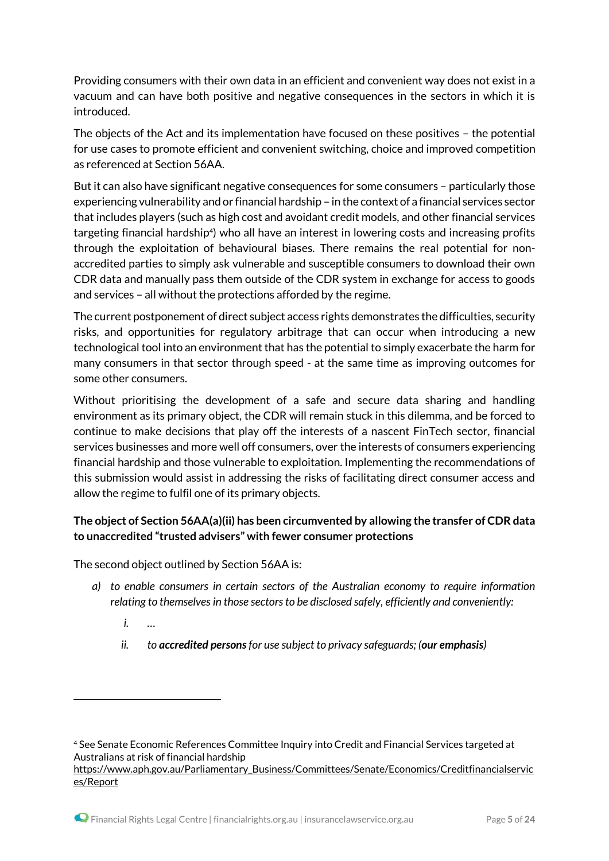Providing consumers with their own data in an efficient and convenient way does not exist in a vacuum and can have both positive and negative consequences in the sectors in which it is introduced.

The objects of the Act and its implementation have focused on these positives – the potential for use cases to promote efficient and convenient switching, choice and improved competition as referenced at Section 56AA.

But it can also have significant negative consequences for some consumers – particularly those experiencing vulnerability and or financial hardship – in the context of a financial services sector that includes players (such as high cost and avoidant credit models, and other financial services targeting financial hardship<sup>4</sup>) who all have an interest in lowering costs and increasing profits through the exploitation of behavioural biases. There remains the real potential for nonaccredited parties to simply ask vulnerable and susceptible consumers to download their own CDR data and manually pass them outside of the CDR system in exchange for access to goods and services – all without the protections afforded by the regime.

The current postponement of direct subject access rights demonstrates the difficulties, security risks, and opportunities for regulatory arbitrage that can occur when introducing a new technological tool into an environment that has the potential to simply exacerbate the harm for many consumers in that sector through speed - at the same time as improving outcomes for some other consumers.

Without prioritising the development of a safe and secure data sharing and handling environment as its primary object, the CDR will remain stuck in this dilemma, and be forced to continue to make decisions that play off the interests of a nascent FinTech sector, financial services businesses and more well off consumers, over the interests of consumers experiencing financial hardship and those vulnerable to exploitation. Implementing the recommendations of this submission would assist in addressing the risks of facilitating direct consumer access and allow the regime to fulfil one of its primary objects.

# **The object of Section 56AA(a)(ii) has been circumvented by allowing the transfer of CDR data to unaccredited "trusted advisers" with fewer consumer protections**

The second object outlined by Section 56AA is:

- *a) to enable consumers in certain sectors of the Australian economy to require information relating to themselves in those sectorsto be disclosed safely, efficiently and conveniently:*
	- *i. …*

1

*ii. to accredited personsfor use subject to privacy safeguards; (our emphasis)*

<sup>4</sup> See Senate Economic References Committee Inquiry into Credit and Financial Services targeted at Australians at risk of financial hardship

[https://www.aph.gov.au/Parliamentary\\_Business/Committees/Senate/Economics/Creditfinancialservic](https://www.aph.gov.au/Parliamentary_Business/Committees/Senate/Economics/Creditfinancialservices/Report) [es/Report](https://www.aph.gov.au/Parliamentary_Business/Committees/Senate/Economics/Creditfinancialservices/Report)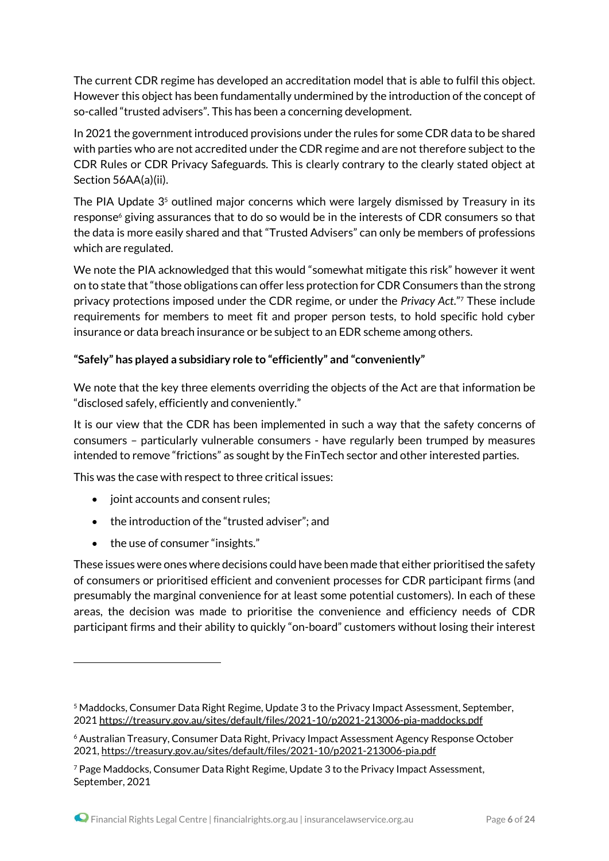The current CDR regime has developed an accreditation model that is able to fulfil this object. However this object has been fundamentally undermined by the introduction of the concept of so-called "trusted advisers". This has been a concerning development.

In 2021 the government introduced provisions under the rules for some CDR data to be shared with parties who are not accredited under the CDR regime and are not therefore subject to the CDR Rules or CDR Privacy Safeguards. This is clearly contrary to the clearly stated object at Section 56AA(a)(ii).

The PIA Update  $3<sup>5</sup>$  outlined major concerns which were largely dismissed by Treasury in its response<sup>6</sup> giving assurances that to do so would be in the interests of CDR consumers so that the data is more easily shared and that "Trusted Advisers" can only be members of professions which are regulated.

We note the PIA acknowledged that this would "somewhat mitigate this risk" however it went on to state that "those obligations can offer less protection for CDR Consumers than the strong privacy protections imposed under the CDR regime, or under the *Privacy Act*."<sup>7</sup> These include requirements for members to meet fit and proper person tests, to hold specific hold cyber insurance or data breach insurance or be subject to an EDR scheme among others.

### **"Safely" has played a subsidiary role to "efficiently" and "conveniently"**

We note that the key three elements overriding the objects of the Act are that information be "disclosed safely, efficiently and conveniently."

It is our view that the CDR has been implemented in such a way that the safety concerns of consumers – particularly vulnerable consumers - have regularly been trumped by measures intended to remove "frictions" as sought by the FinTech sector and other interested parties.

This was the case with respect to three critical issues:

- joint accounts and consent rules;
- $\bullet$  the introduction of the "trusted adviser"; and
- the use of consumer "insights."

1

These issues were ones where decisions could have been made that either prioritised the safety of consumers or prioritised efficient and convenient processes for CDR participant firms (and presumably the marginal convenience for at least some potential customers). In each of these areas, the decision was made to prioritise the convenience and efficiency needs of CDR participant firms and their ability to quickly "on-board" customers without losing their interest

<sup>5</sup> Maddocks, Consumer Data Right Regime, Update 3 to the Privacy Impact Assessment, September, 2021 <https://treasury.gov.au/sites/default/files/2021-10/p2021-213006-pia-maddocks.pdf>

<sup>6</sup> Australian Treasury, Consumer Data Right, Privacy Impact Assessment Agency Response October 2021, <https://treasury.gov.au/sites/default/files/2021-10/p2021-213006-pia.pdf>

<sup>7</sup> Page Maddocks, Consumer Data Right Regime, Update 3 to the Privacy Impact Assessment, September, 2021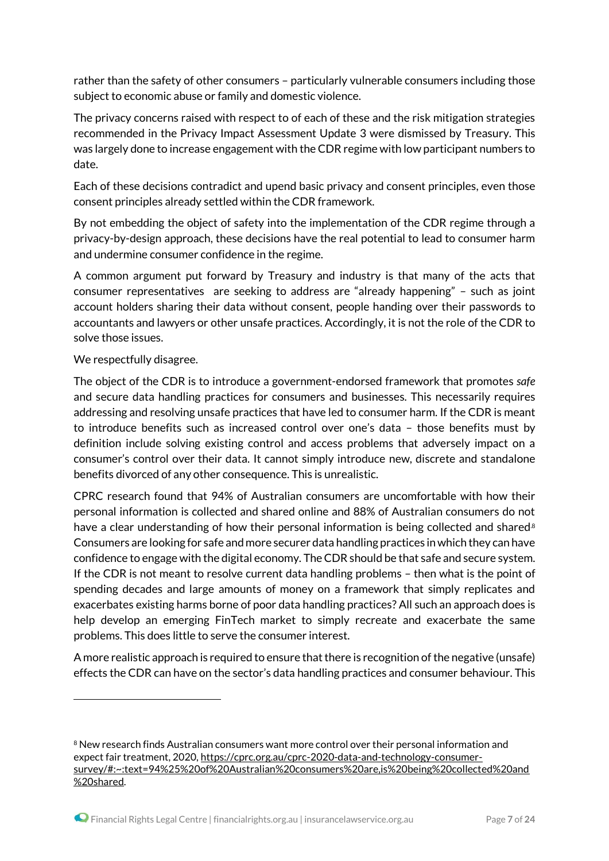rather than the safety of other consumers – particularly vulnerable consumers including those subject to economic abuse or family and domestic violence.

The privacy concerns raised with respect to of each of these and the risk mitigation strategies recommended in the Privacy Impact Assessment Update 3 were dismissed by Treasury. This was largely done to increase engagement with the CDR regime with low participant numbers to date.

Each of these decisions contradict and upend basic privacy and consent principles, even those consent principles already settled within the CDR framework.

By not embedding the object of safety into the implementation of the CDR regime through a privacy-by-design approach, these decisions have the real potential to lead to consumer harm and undermine consumer confidence in the regime.

A common argument put forward by Treasury and industry is that many of the acts that consumer representatives are seeking to address are "already happening" – such as joint account holders sharing their data without consent, people handing over their passwords to accountants and lawyers or other unsafe practices. Accordingly, it is not the role of the CDR to solve those issues.

We respectfully disagree.

1

The object of the CDR is to introduce a government-endorsed framework that promotes *safe* and secure data handling practices for consumers and businesses. This necessarily requires addressing and resolving unsafe practices that have led to consumer harm. If the CDR is meant to introduce benefits such as increased control over one's data – those benefits must by definition include solving existing control and access problems that adversely impact on a consumer's control over their data. It cannot simply introduce new, discrete and standalone benefits divorced of any other consequence. This is unrealistic.

CPRC research found that 94% of Australian consumers are uncomfortable with how their personal information is collected and shared online and 88% of Australian consumers do not have a clear understanding of how their personal information is being collected and shared.<sup>8</sup> Consumers are looking for safe and more securer data handling practices in which they can have confidence to engage with the digital economy. The CDR should be that safe and secure system. If the CDR is not meant to resolve current data handling problems – then what is the point of spending decades and large amounts of money on a framework that simply replicates and exacerbates existing harms borne of poor data handling practices? All such an approach does is help develop an emerging FinTech market to simply recreate and exacerbate the same problems. This does little to serve the consumer interest.

A more realistic approach is required to ensure that there is recognition of the negative (unsafe) effects the CDR can have on the sector's data handling practices and consumer behaviour. This

<sup>&</sup>lt;sup>8</sup> New research finds Australian consumers want more control over their personal information and expect fair treatment, 2020, [https://cprc.org.au/cprc-2020-data-and-technology-consumer](https://cprc.org.au/cprc-2020-data-and-technology-consumer-survey/#:~:text=94%25%20of%20Australian%20consumers%20are,is%20being%20collected%20and%20shared)[survey/#:~:text=94%25%20of%20Australian%20consumers%20are,is%20being%20collected%20and](https://cprc.org.au/cprc-2020-data-and-technology-consumer-survey/#:~:text=94%25%20of%20Australian%20consumers%20are,is%20being%20collected%20and%20shared) [%20shared.](https://cprc.org.au/cprc-2020-data-and-technology-consumer-survey/#:~:text=94%25%20of%20Australian%20consumers%20are,is%20being%20collected%20and%20shared)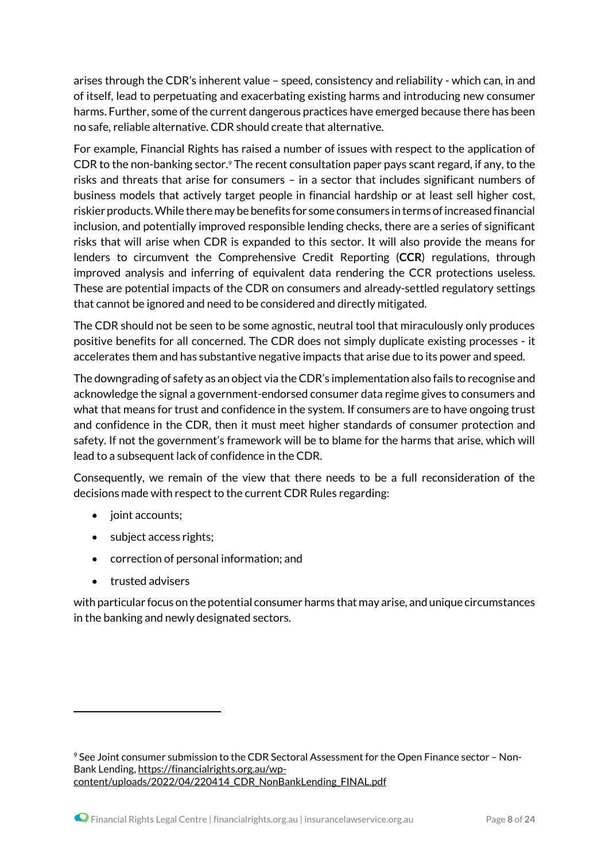arises through the CDR's inherent value – speed, consistency and reliability - which can, in and of itself, lead to perpetuating and exacerbating existing harms and introducing new consumer harms. Further, some of the current dangerous practices have emerged because there has been no safe, reliable alternative. CDR should create that alternative.

For example, Financial Rights has raised a number of issues with respect to the application of CDR to the non-banking sector.<sup>9</sup> The recent consultation paper pays scant regard, if any, to the risks and threats that arise for consumers – in a sector that includes significant numbers of business models that actively target people in financial hardship or at least sell higher cost, riskier products. While there may be benefits for some consumers in terms of increased financial inclusion, and potentially improved responsible lending checks, there are a series of significant risks that will arise when CDR is expanded to this sector. It will also provide the means for lenders to circumvent the Comprehensive Credit Reporting (**CCR**) regulations, through improved analysis and inferring of equivalent data rendering the CCR protections useless. These are potential impacts of the CDR on consumers and already-settled regulatory settings that cannot be ignored and need to be considered and directly mitigated.

The CDR should not be seen to be some agnostic, neutral tool that miraculously only produces positive benefits for all concerned. The CDR does not simply duplicate existing processes - it accelerates them and has substantive negative impacts that arise due to its power and speed.

The downgrading of safety as an object via the CDR's implementation also fails to recognise and acknowledge the signal a government-endorsed consumer data regime gives to consumers and what that means for trust and confidence in the system. If consumers are to have ongoing trust and confidence in the CDR, then it must meet higher standards of consumer protection and safety. If not the government's framework will be to blame for the harms that arise, which will lead to a subsequent lack of confidence in the CDR.

Consequently, we remain of the view that there needs to be a full reconsideration of the decisions made with respect to the current CDR Rules regarding:

- joint accounts;
- subject access rights;
- correction of personal information; and
- trusted advisers

1

with particular focus on the potential consumer harms that may arise, and unique circumstances in the banking and newly designated sectors.

<sup>9</sup> See Joint consumer submission to the CDR Sectoral Assessment for the Open Finance sector – Non-Bank Lending, [https://financialrights.org.au/wp](https://financialrights.org.au/wp-content/uploads/2022/04/220414_CDR_NonBankLending_FINAL.pdf)[content/uploads/2022/04/220414\\_CDR\\_NonBankLending\\_FINAL.pdf](https://financialrights.org.au/wp-content/uploads/2022/04/220414_CDR_NonBankLending_FINAL.pdf)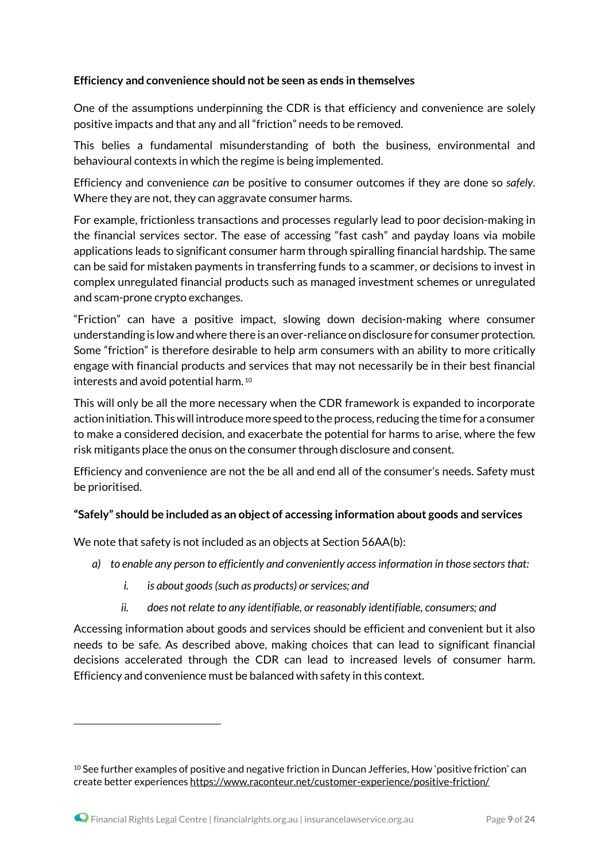#### **Efficiency and convenience should not be seen as ends in themselves**

One of the assumptions underpinning the CDR is that efficiency and convenience are solely positive impacts and that any and all "friction" needs to be removed.

This belies a fundamental misunderstanding of both the business, environmental and behavioural contexts in which the regime is being implemented.

Efficiency and convenience *can* be positive to consumer outcomes if they are done so *safely*. Where they are not, they can aggravate consumer harms.

For example, frictionless transactions and processes regularly lead to poor decision-making in the financial services sector. The ease of accessing "fast cash" and payday loans via mobile applications leads to significant consumer harm through spiralling financial hardship. The same can be said for mistaken payments in transferring funds to a scammer, or decisions to invest in complex unregulated financial products such as managed investment schemes or unregulated and scam-prone crypto exchanges.

"Friction" can have a positive impact, slowing down decision-making where consumer understanding is low and where there is an over-reliance on disclosure for consumer protection. Some "friction" is therefore desirable to help arm consumers with an ability to more critically engage with financial products and services that may not necessarily be in their best financial interests and avoid potential harm. <sup>10</sup>

This will only be all the more necessary when the CDR framework is expanded to incorporate action initiation. This will introduce more speed to the process, reducing the time for a consumer to make a considered decision, and exacerbate the potential for harms to arise, where the few risk mitigants place the onus on the consumer through disclosure and consent.

Efficiency and convenience are not the be all and end all of the consumer's needs. Safety must be prioritised.

### **"Safely" should be included as an object of accessing information about goods and services**

We note that safety is not included as an objects at Section 56AA(b):

- *a) to enable any person to efficiently and conveniently access information in those sectorsthat:*
	- *i. is about goods* (*such as products*) *or services; and*
	- *ii. does not relate to any identifiable, or reasonably identifiable, consumers; and*

Accessing information about goods and services should be efficient and convenient but it also needs to be safe. As described above, making choices that can lead to significant financial decisions accelerated through the CDR can lead to increased levels of consumer harm. Efficiency and convenience must be balanced with safety in this context.

 $10$  See further examples of positive and negative friction in Duncan Jefferies, How 'positive friction' can create better experiences <https://www.raconteur.net/customer-experience/positive-friction/>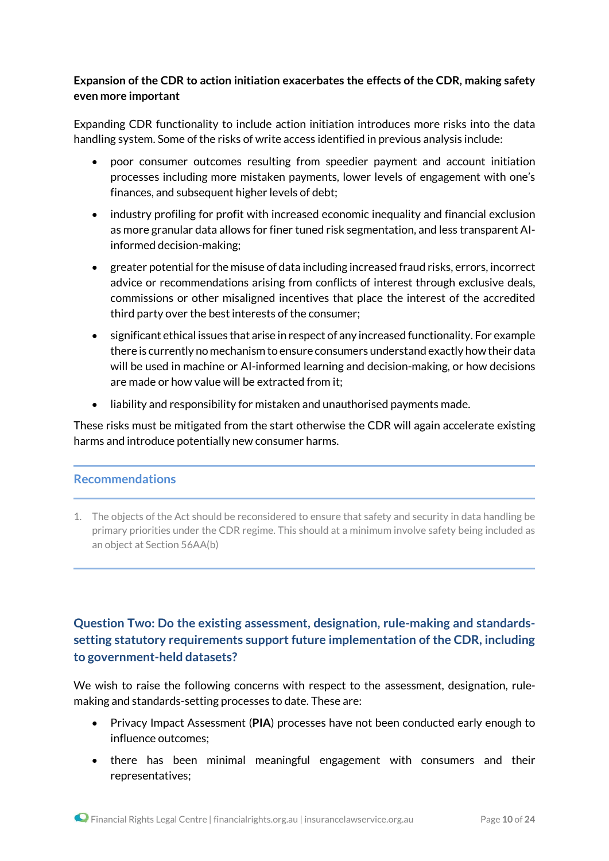# **Expansion of the CDR to action initiation exacerbates the effects of the CDR, making safety even more important**

Expanding CDR functionality to include action initiation introduces more risks into the data handling system. Some of the risks of write access identified in previous analysis include:

- poor consumer outcomes resulting from speedier payment and account initiation processes including more mistaken payments, lower levels of engagement with one's finances, and subsequent higher levels of debt;
- industry profiling for profit with increased economic inequality and financial exclusion as more granular data allows for finer tuned risk segmentation, and less transparent AIinformed decision-making;
- greater potential for the misuse of data including increased fraud risks, errors, incorrect advice or recommendations arising from conflicts of interest through exclusive deals, commissions or other misaligned incentives that place the interest of the accredited third party over the best interests of the consumer;
- significant ethical issues that arise in respect of any increased functionality. For example there is currently no mechanism to ensure consumers understand exactly howtheir data will be used in machine or AI-informed learning and decision-making, or how decisions are made or how value will be extracted from it;
- liability and responsibility for mistaken and unauthorised payments made.

These risks must be mitigated from the start otherwise the CDR will again accelerate existing harms and introduce potentially new consumer harms.

### **Recommendations**

1. The objects of the Act should be reconsidered to ensure that safety and security in data handling be primary priorities under the CDR regime. This should at a minimum involve safety being included as an object at Section 56AA(b)

# **Question Two: Do the existing assessment, designation, rule-making and standardssetting statutory requirements support future implementation of the CDR, including to government-held datasets?**

We wish to raise the following concerns with respect to the assessment, designation, rulemaking and standards-setting processes to date. These are:

- Privacy Impact Assessment (**PIA**) processes have not been conducted early enough to influence outcomes;
- there has been minimal meaningful engagement with consumers and their representatives;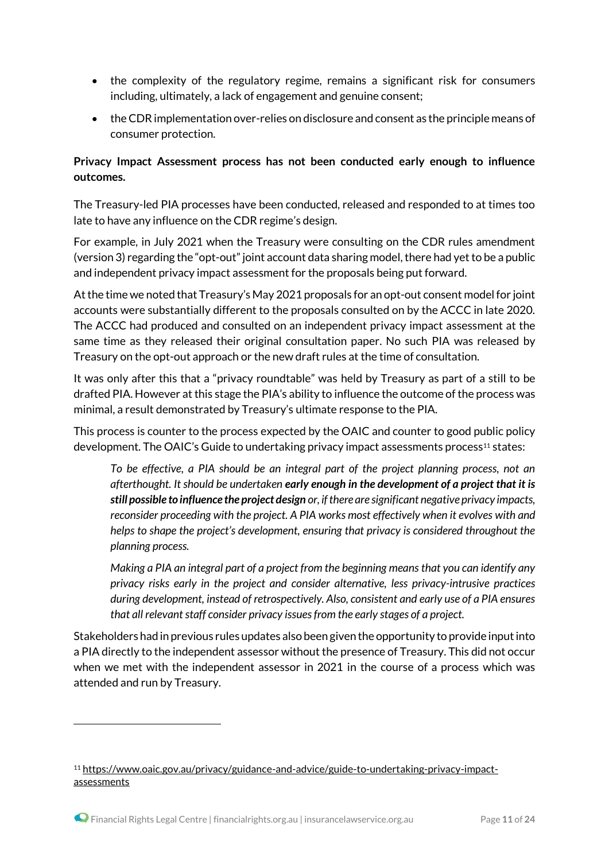- the complexity of the regulatory regime, remains a significant risk for consumers including, ultimately, a lack of engagement and genuine consent;
- theCDRimplementation over-relies on disclosure and consent as the principle means of consumer protection.

# **Privacy Impact Assessment process has not been conducted early enough to influence outcomes.**

The Treasury-led PIA processes have been conducted, released and responded to at times too late to have any influence on the CDR regime's design.

For example, in July 2021 when the Treasury were consulting on the CDR rules amendment (version 3) regarding the "opt-out" joint account data sharing model, there had yet to be a public and independent privacy impact assessment for the proposals being put forward.

At the time we noted that Treasury's May 2021 proposals for an opt-out consent model for joint accounts were substantially different to the proposals consulted on by the ACCC in late 2020. The ACCC had produced and consulted on an independent privacy impact assessment at the same time as they released their original consultation paper. No such PIA was released by Treasury on the opt-out approach or the new draft rules at the time of consultation.

It was only after this that a "privacy roundtable" was held by Treasury as part of a still to be drafted PIA. However at this stage the PIA's ability to influence the outcome of the process was minimal, a result demonstrated by Treasury's ultimate response to the PIA.

This process is counter to the process expected by the OAIC and counter to good public policy development. The OAIC's Guide to undertaking privacy impact assessments process<sup>11</sup> states:

*To be effective, a PIA should be an integral part of the project planning process, not an afterthought. It should be undertaken early enough in the development of a project that it is still possible to influence the project design or, if there are significant negative privacy impacts, reconsider proceeding with the project. A PIA works most effectively when it evolves with and helps to shape the project's development, ensuring that privacy is considered throughout the planning process.* 

*Making a PIA an integral part of a project from the beginning means that you can identify any privacy risks early in the project and consider alternative, less privacy-intrusive practices during development, instead of retrospectively. Also, consistent and early use of a PIA ensures that all relevant staff consider privacy issues from the early stages of a project.*

Stakeholders had in previous rules updates also been given the opportunity to provide input into a PIA directly to the independent assessor without the presence of Treasury. This did not occur when we met with the independent assessor in 2021 in the course of a process which was attended and run by Treasury.

<sup>11</sup> [https://www.oaic.gov.au/privacy/guidance-and-advice/guide-to-undertaking-privacy-impact](https://www.oaic.gov.au/privacy/guidance-and-advice/guide-to-undertaking-privacy-impact-assessments)[assessments](https://www.oaic.gov.au/privacy/guidance-and-advice/guide-to-undertaking-privacy-impact-assessments)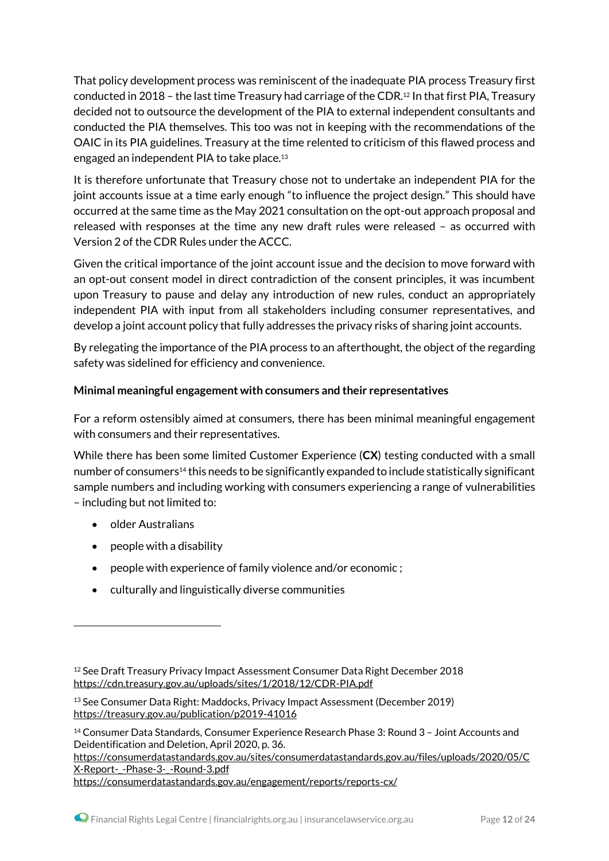That policy development process was reminiscent of the inadequate PIA process Treasury first conducted in 2018 – the last time Treasury had carriage of the CDR. <sup>12</sup> In that first PIA, Treasury decided not to outsource the development of the PIA to external independent consultants and conducted the PIA themselves. This too was not in keeping with the recommendations of the OAIC in its PIA guidelines. Treasury at the time relented to criticism of this flawed process and engaged an independent PIA to take place.<sup>13</sup>

It is therefore unfortunate that Treasury chose not to undertake an independent PIA for the joint accounts issue at a time early enough "to influence the project design." This should have occurred at the same time as the May 2021 consultation on the opt-out approach proposal and released with responses at the time any new draft rules were released – as occurred with Version 2 of the CDR Rules under the ACCC.

Given the critical importance of the joint account issue and the decision to move forward with an opt-out consent model in direct contradiction of the consent principles, it was incumbent upon Treasury to pause and delay any introduction of new rules, conduct an appropriately independent PIA with input from all stakeholders including consumer representatives, and develop a joint account policy that fully addresses the privacy risks of sharing joint accounts.

By relegating the importance of the PIA process to an afterthought, the object of the regarding safety was sidelined for efficiency and convenience.

# **Minimal meaningful engagement with consumers and their representatives**

For a reform ostensibly aimed at consumers, there has been minimal meaningful engagement with consumers and their representatives.

While there has been some limited Customer Experience (**CX**) testing conducted with a small number of consumers<sup>14</sup> this needs to be significantly expanded to include statistically significant sample numbers and including working with consumers experiencing a range of vulnerabilities – including but not limited to:

• older Australians

1

- people with a disability
- people with experience of family violence and/or economic ;
- culturally and linguistically diverse communities

[https://consumerdatastandards.gov.au/sites/consumerdatastandards.gov.au/files/uploads/2020/05/C](https://consumerdatastandards.gov.au/sites/consumerdatastandards.gov.au/files/uploads/2020/05/CX-Report-_-Phase-3-_-Round-3.pdf) [X-Report-\\_-Phase-3-\\_-Round-3.pdf](https://consumerdatastandards.gov.au/sites/consumerdatastandards.gov.au/files/uploads/2020/05/CX-Report-_-Phase-3-_-Round-3.pdf) 

<https://consumerdatastandards.gov.au/engagement/reports/reports-cx/>

<sup>12</sup> See Draft Treasury Privacy Impact Assessment Consumer Data Right December 2018 <https://cdn.treasury.gov.au/uploads/sites/1/2018/12/CDR-PIA.pdf>

<sup>13</sup> See Consumer Data Right: Maddocks, Privacy Impact Assessment (December 2019) <https://treasury.gov.au/publication/p2019-41016>

<sup>14</sup> Consumer Data Standards, Consumer Experience Research Phase 3: Round 3 – Joint Accounts and Deidentification and Deletion, April 2020, p. 36.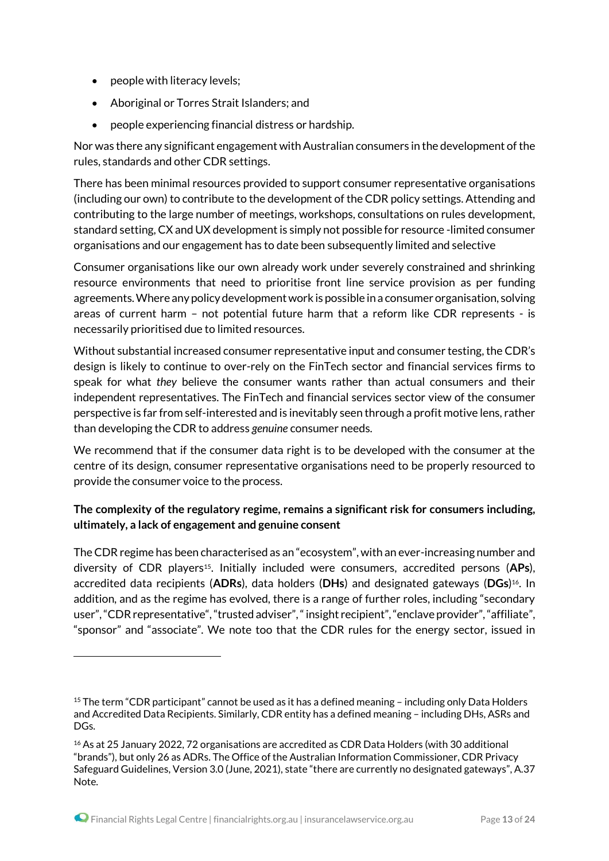- people with literacy levels;
- Aboriginal or Torres Strait Islanders; and
- people experiencing financial distress or hardship.

Nor was there any significant engagement with Australian consumers in the development of the rules, standards and other CDR settings.

There has been minimal resources provided to support consumer representative organisations (including our own) to contribute to the development of the CDR policy settings. Attending and contributing to the large number of meetings, workshops, consultations on rules development, standard setting, CX and UX development is simply not possible for resource -limited consumer organisations and our engagement has to date been subsequently limited and selective

Consumer organisations like our own already work under severely constrained and shrinking resource environments that need to prioritise front line service provision as per funding agreements.Where any policy development work is possible in a consumer organisation, solving areas of current harm – not potential future harm that a reform like CDR represents - is necessarily prioritised due to limited resources.

Without substantial increased consumer representative input and consumer testing, the CDR's design is likely to continue to over-rely on the FinTech sector and financial services firms to speak for what *they* believe the consumer wants rather than actual consumers and their independent representatives. The FinTech and financial services sector view of the consumer perspective is far from self-interested and is inevitably seen through a profit motive lens, rather than developing the CDR to address *genuine* consumer needs.

We recommend that if the consumer data right is to be developed with the consumer at the centre of its design, consumer representative organisations need to be properly resourced to provide the consumer voice to the process.

# **The complexity of the regulatory regime, remains a significant risk for consumers including, ultimately, a lack of engagement and genuine consent**

The CDR regime has been characterised as an "ecosystem", with an ever-increasing number and diversity of CDR players15. Initially included were consumers, accredited persons (**APs**), accredited data recipients (**ADRs**), data holders (**DHs**) and designated gateways (**DGs**) <sup>16</sup>. In addition, and as the regime has evolved, there is a range of further roles, including "secondary user", "CDR representative", "trusted adviser", "insight recipient", "enclave provider", "affiliate", "sponsor" and "associate". We note too that the CDR rules for the energy sector, issued in

<sup>15</sup> The term "CDR participant" cannot be used as it has a defined meaning – including only Data Holders and Accredited Data Recipients. Similarly, CDR entity has a defined meaning – including DHs, ASRs and DGs.

<sup>16</sup> As at 25 January 2022, 72 organisations are accredited as CDR Data Holders (with 30 additional "brands"), but only 26 as ADRs. The Office of the Australian Information Commissioner, CDR Privacy Safeguard Guidelines, Version 3.0 (June, 2021), state "there are currently no designated gateways", A.37 Note.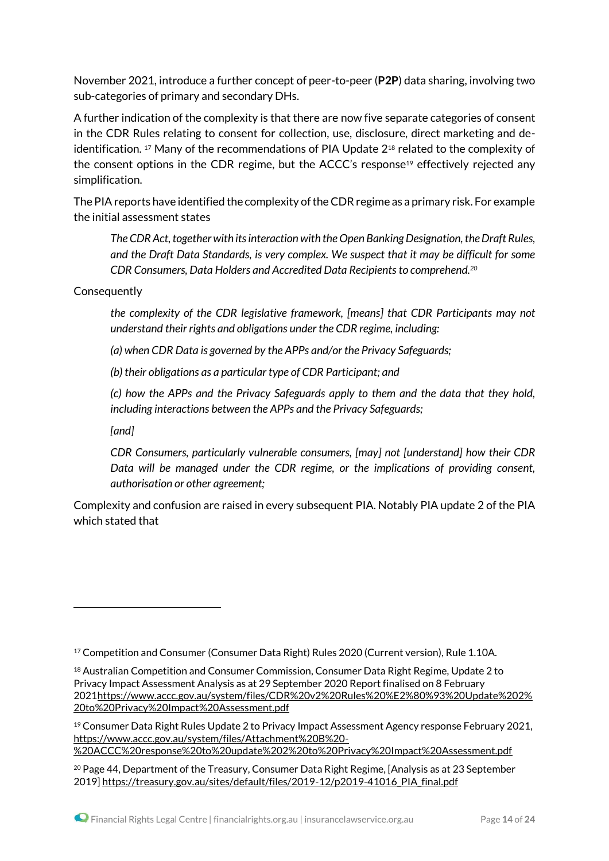November 2021, introduce a further concept of peer-to-peer (**P2P**) data sharing, involving two sub-categories of primary and secondary DHs.

A further indication of the complexity is that there are now five separate categories of consent in the CDR Rules relating to consent for collection, use, disclosure, direct marketing and deidentification. <sup>17</sup> Many of the recommendations of PIA Update  $2^{18}$  related to the complexity of the consent options in the CDR regime, but the ACCC's response<sup>19</sup> effectively rejected any simplification.

The PIA reports have identified the complexity of the CDR regime as a primary risk. For example the initial assessment states

*The CDR Act, together with its interaction with the Open Banking Designation, the Draft Rules, and the Draft Data Standards, is very complex. We suspect that it may be difficult for some CDR Consumers, Data Holders and Accredited Data Recipients to comprehend.<sup>20</sup>*

**Consequently** 

*the complexity of the CDR legislative framework, [means] that CDR Participants may not understand their rights and obligations under the CDR regime, including:* 

*(a) when CDR Data is governed by the APPs and/or the Privacy Safeguards;* 

*(b) their obligations as a particular type of CDR Participant; and* 

*(c) how the APPs and the Privacy Safeguards apply to them and the data that they hold, including interactions between the APPs and the Privacy Safeguards;*

*[and]*

.

*CDR Consumers, particularly vulnerable consumers, [may] not [understand] how their CDR Data will be managed under the CDR regime, or the implications of providing consent, authorisation or other agreement;*

Complexity and confusion are raised in every subsequent PIA. Notably PIA update 2 of the PIA which stated that

[%20ACCC%20response%20to%20update%202%20to%20Privacy%20Impact%20Assessment.pdf](https://www.accc.gov.au/system/files/Attachment%20B%20-%20ACCC%20response%20to%20update%202%20to%20Privacy%20Impact%20Assessment.pdf)

<sup>&</sup>lt;sup>17</sup> Competition and Consumer (Consumer Data Right) Rules 2020 (Current version), Rule 1.10A.

<sup>18</sup> Australian Competition and Consumer Commission, Consumer Data Right Regime, Update 2 to Privacy Impact Assessment Analysis as at 29 September 2020 Report finalised on 8 February 202[1https://www.accc.gov.au/system/files/CDR%20v2%20Rules%20%E2%80%93%20Update%202%](https://www.accc.gov.au/system/files/CDR%20v2%20Rules%20%E2%80%93%20Update%202%20to%20Privacy%20Impact%20Assessment.pdf) [20to%20Privacy%20Impact%20Assessment.pdf](https://www.accc.gov.au/system/files/CDR%20v2%20Rules%20%E2%80%93%20Update%202%20to%20Privacy%20Impact%20Assessment.pdf)

<sup>19</sup> Consumer Data Right Rules Update 2 to Privacy Impact Assessment Agency response February 2021, [https://www.accc.gov.au/system/files/Attachment%20B%20-](https://www.accc.gov.au/system/files/Attachment%20B%20-%20ACCC%20response%20to%20update%202%20to%20Privacy%20Impact%20Assessment.pdf)

 $20$  Page 44, Department of the Treasury, Consumer Data Right Regime, [Analysis as at 23 September 2019] [https://treasury.gov.au/sites/default/files/2019-12/p2019-41016\\_PIA\\_final.pdf](https://treasury.gov.au/sites/default/files/2019-12/p2019-41016_PIA_final.pdf)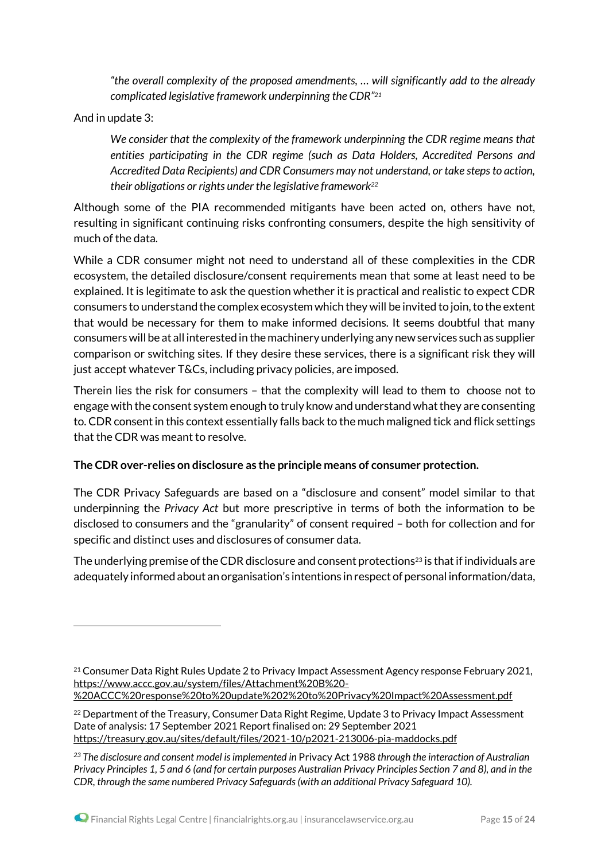*"the overall complexity of the proposed amendments, … will significantly add to the already complicated legislative framework underpinning the CDR"<sup>21</sup>*

And in update 3:

1

*We consider that the complexity of the framework underpinning the CDR regime means that entities participating in the CDR regime (such as Data Holders, Accredited Persons and Accredited Data Recipients) and CDR Consumers may not understand, or take steps to action, their obligations or rights under the legislative framework<sup>22</sup>*

Although some of the PIA recommended mitigants have been acted on, others have not, resulting in significant continuing risks confronting consumers, despite the high sensitivity of much of the data.

While a CDR consumer might not need to understand all of these complexities in the CDR ecosystem, the detailed disclosure/consent requirements mean that some at least need to be explained. It is legitimate to ask the question whether it is practical and realistic to expect CDR consumers to understand the complex ecosystem which they will be invited to join, to the extent that would be necessary for them to make informed decisions. It seems doubtful that many consumers will be at all interested in the machinery underlying any new services such as supplier comparison or switching sites. If they desire these services, there is a significant risk they will just accept whatever T&Cs, including privacy policies, are imposed.

Therein lies the risk for consumers – that the complexity will lead to them to choose not to engage with the consent system enough to truly know and understand what they are consenting to. CDR consent in this context essentially falls back to the much maligned tick and flick settings that the CDR was meant to resolve.

### **The CDR over-relies on disclosure as the principle means of consumer protection.**

The CDR Privacy Safeguards are based on a "disclosure and consent" model similar to that underpinning the *Privacy Act* but more prescriptive in terms of both the information to be disclosed to consumers and the "granularity" of consent required – both for collection and for specific and distinct uses and disclosures of consumer data.

The underlying premise of the CDR disclosure and consent protections<sup>23</sup> is that if individuals are adequately informed about an organisation's intentions in respect of personal information/data,

<sup>21</sup> Consumer Data Right Rules Update 2 to Privacy Impact Assessment Agency response February 2021, [https://www.accc.gov.au/system/files/Attachment%20B%20-](https://www.accc.gov.au/system/files/Attachment%20B%20-%20ACCC%20response%20to%20update%202%20to%20Privacy%20Impact%20Assessment.pdf)

[<sup>%20</sup>ACCC%20response%20to%20update%202%20to%20Privacy%20Impact%20Assessment.pdf](https://www.accc.gov.au/system/files/Attachment%20B%20-%20ACCC%20response%20to%20update%202%20to%20Privacy%20Impact%20Assessment.pdf)

<sup>&</sup>lt;sup>22</sup> Department of the Treasury, Consumer Data Right Regime, Update 3 to Privacy Impact Assessment Date of analysis: 17 September 2021 Report finalised on: 29 September 2021 <https://treasury.gov.au/sites/default/files/2021-10/p2021-213006-pia-maddocks.pdf>

*<sup>23</sup> The disclosure and consent model isimplemented in* Privacy Act 1988 *through the interaction of Australian* Privacy Principles 1, 5 and 6 (and for certain purposes Australian Privacy Principles Section 7 and 8), and in the *CDR, through the same numbered Privacy Safeguards(with an additional Privacy Safeguard 10).*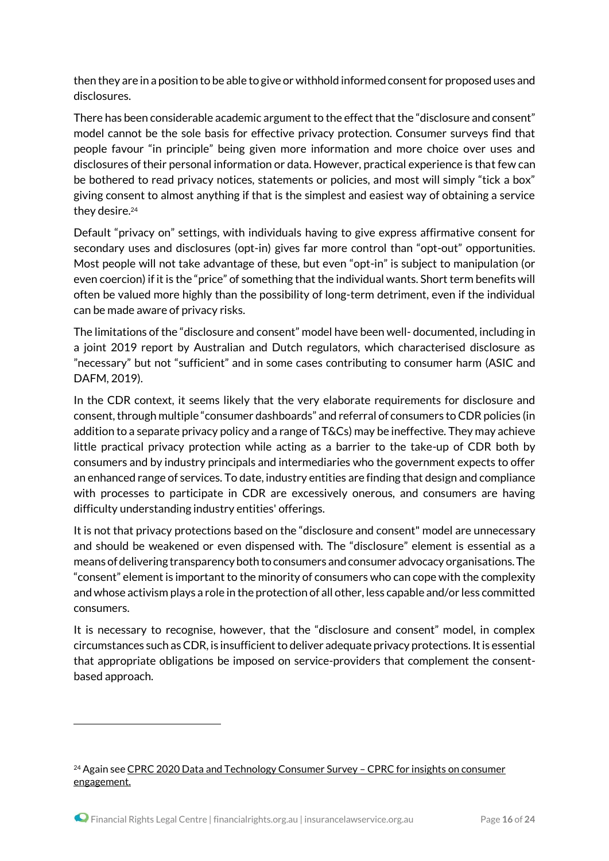then they are in a position to be able to give or withhold informed consent for proposed uses and disclosures.

There has been considerable academic argument to the effect that the "disclosure and consent" model cannot be the sole basis for effective privacy protection. Consumer surveys find that people favour "in principle" being given more information and more choice over uses and disclosures of their personal information or data. However, practical experience is that few can be bothered to read privacy notices, statements or policies, and most will simply "tick a box" giving consent to almost anything if that is the simplest and easiest way of obtaining a service they desire.<sup>24</sup>

Default "privacy on" settings, with individuals having to give express affirmative consent for secondary uses and disclosures (opt-in) gives far more control than "opt-out" opportunities. Most people will not take advantage of these, but even "opt-in" is subject to manipulation (or even coercion) if it is the "price" of something that the individual wants. Short term benefits will often be valued more highly than the possibility of long-term detriment, even if the individual can be made aware of privacy risks.

The limitations of the "disclosure and consent" model have been well- documented, including in a joint 2019 report by Australian and Dutch regulators, which characterised disclosure as "necessary" but not "sufficient" and in some cases contributing to consumer harm (ASIC and DAFM, 2019).

In the CDR context, it seems likely that the very elaborate requirements for disclosure and consent, through multiple "consumer dashboards" and referral of consumers to CDR policies (in addition to a separate privacy policy and a range of T&Cs) may be ineffective. They may achieve little practical privacy protection while acting as a barrier to the take-up of CDR both by consumers and by industry principals and intermediaries who the government expects to offer an enhanced range of services. To date, industry entities are finding that design and compliance with processes to participate in CDR are excessively onerous, and consumers are having difficulty understanding industry entities' offerings.

It is not that privacy protections based on the "disclosure and consent" model are unnecessary and should be weakened or even dispensed with. The "disclosure" element is essential as a means of delivering transparency both to consumers and consumer advocacy organisations. The "consent" element is important to the minority of consumers who can cope with the complexity and whose activism plays a role in the protection of all other, less capable and/or less committed consumers.

It is necessary to recognise, however, that the "disclosure and consent" model, in complex circumstances such as CDR, is insufficient to deliver adequate privacy protections. It is essential that appropriate obligations be imposed on service-providers that complement the consentbased approach.

<sup>&</sup>lt;sup>24</sup> Again see CPRC 2020 Data and [Technology](https://cprc.org.au/cprc-2020-data-and-technology-consumer-survey/) Consumer Survey - CPRC for insights on consumer engagement.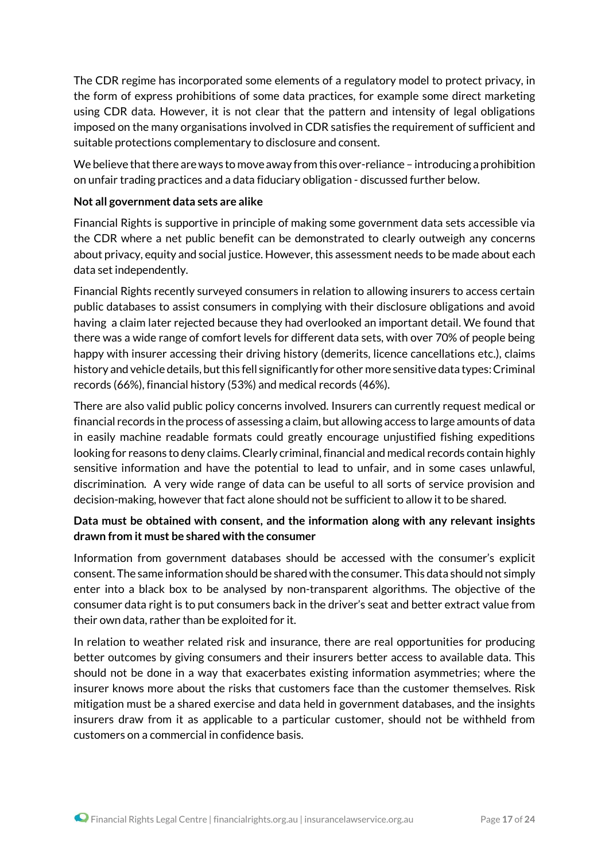The CDR regime has incorporated some elements of a regulatory model to protect privacy, in the form of express prohibitions of some data practices, for example some direct marketing using CDR data. However, it is not clear that the pattern and intensity of legal obligations imposed on the many organisations involved in CDR satisfies the requirement of sufficient and suitable protections complementary to disclosure and consent.

We believe that there are ways to move away from this over-reliance – introducing a prohibition on unfair trading practices and a data fiduciary obligation - discussed further below.

#### **Not all government data sets are alike**

Financial Rights is supportive in principle of making some government data sets accessible via the CDR where a net public benefit can be demonstrated to clearly outweigh any concerns about privacy, equity and social justice. However, this assessment needs to be made about each data set independently.

Financial Rights recently surveyed consumers in relation to allowing insurers to access certain public databases to assist consumers in complying with their disclosure obligations and avoid having a claim later rejected because they had overlooked an important detail. We found that there was a wide range of comfort levels for different data sets, with over 70% of people being happy with insurer accessing their driving history (demerits, licence cancellations etc.), claims history and vehicle details, but this fell significantly for other more sensitive data types: Criminal records (66%), financial history (53%) and medical records (46%).

There are also valid public policy concerns involved. Insurers can currently request medical or financial records in the process of assessing a claim, but allowing access to large amounts of data in easily machine readable formats could greatly encourage unjustified fishing expeditions looking for reasons to deny claims. Clearly criminal, financial and medical records contain highly sensitive information and have the potential to lead to unfair, and in some cases unlawful, discrimination. A very wide range of data can be useful to all sorts of service provision and decision-making, however that fact alone should not be sufficient to allow it to be shared.

### **Data must be obtained with consent, and the information along with any relevant insights drawn from it must be shared with the consumer**

Information from government databases should be accessed with the consumer's explicit consent. The same information should be shared with the consumer. This data should not simply enter into a black box to be analysed by non-transparent algorithms. The objective of the consumer data right is to put consumers back in the driver's seat and better extract value from their own data, rather than be exploited for it.

In relation to weather related risk and insurance, there are real opportunities for producing better outcomes by giving consumers and their insurers better access to available data. This should not be done in a way that exacerbates existing information asymmetries; where the insurer knows more about the risks that customers face than the customer themselves. Risk mitigation must be a shared exercise and data held in government databases, and the insights insurers draw from it as applicable to a particular customer, should not be withheld from customers on a commercial in confidence basis.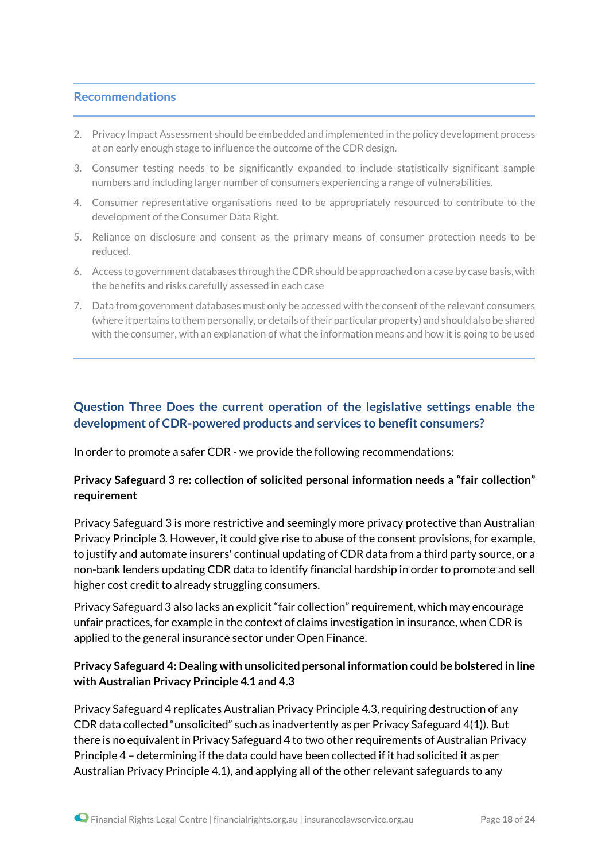#### **Recommendations**

- 2. Privacy Impact Assessment should be embedded and implemented in the policy development process at an early enough stage to influence the outcome of the CDR design.
- 3. Consumer testing needs to be significantly expanded to include statistically significant sample numbers and including larger number of consumers experiencing a range of vulnerabilities.
- 4. Consumer representative organisations need to be appropriately resourced to contribute to the development of the Consumer Data Right.
- 5. Reliance on disclosure and consent as the primary means of consumer protection needs to be reduced.
- 6. Access to government databases through theCDRshould be approached on a case by case basis, with the benefits and risks carefully assessed in each case
- 7. Data from government databases must only be accessed with the consent of the relevant consumers (where it pertains to them personally, or details oftheir particular property) and should also be shared with the consumer, with an explanation of what the information means and how it is going to be used

# **Question Three Does the current operation of the legislative settings enable the development of CDR-powered products and services to benefit consumers?**

In order to promote a safer CDR - we provide the following recommendations:

### **Privacy Safeguard 3 re: collection of solicited personal information needs a "fair collection" requirement**

Privacy Safeguard 3 is more restrictive and seemingly more privacy protective than Australian Privacy Principle 3. However, it could give rise to abuse of the consent provisions, for example, to justify and automate insurers' continual updating of CDR data from a third party source, or a non-bank lenders updating CDR data to identify financial hardship in order to promote and sell higher cost credit to already struggling consumers.

Privacy Safeguard 3 also lacks an explicit "fair collection" requirement, which may encourage unfair practices, for example in the context of claims investigation in insurance, when CDR is applied to the general insurance sector under Open Finance.

### **Privacy Safeguard 4: Dealing with unsolicited personal information could be bolstered in line with Australian Privacy Principle 4.1 and 4.3**

Privacy Safeguard 4 replicates Australian Privacy Principle 4.3, requiring destruction of any CDR data collected "unsolicited" such as inadvertently as per Privacy Safeguard 4(1)). But there is no equivalent in Privacy Safeguard 4 to two other requirements of Australian Privacy Principle 4 – determining if the data could have been collected if it had solicited it as per Australian Privacy Principle 4.1), and applying all of the other relevant safeguards to any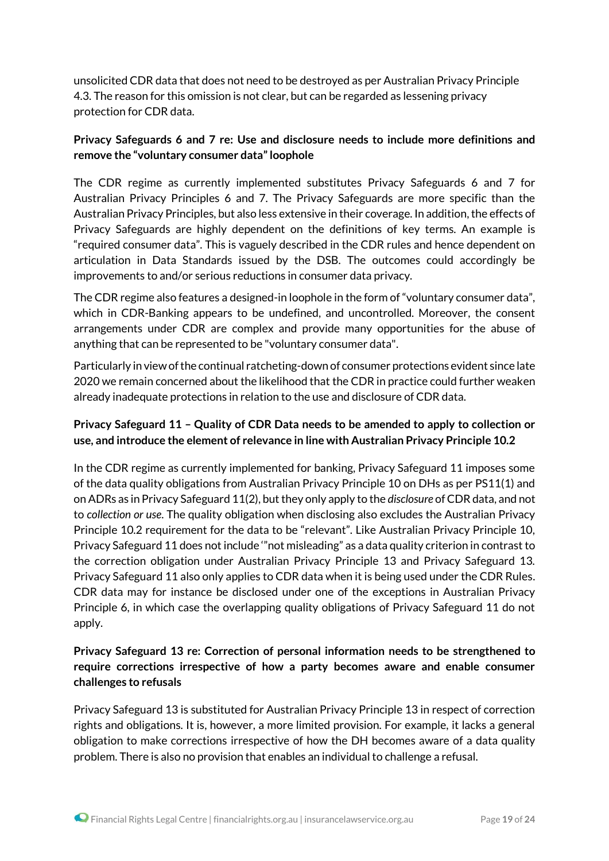unsolicited CDR data that does not need to be destroyed as per Australian Privacy Principle 4.3. The reason for this omission is not clear, but can be regarded as lessening privacy protection for CDR data.

## **Privacy Safeguards 6 and 7 re: Use and disclosure needs to include more definitions and remove the "voluntary consumer data" loophole**

The CDR regime as currently implemented substitutes Privacy Safeguards 6 and 7 for Australian Privacy Principles 6 and 7. The Privacy Safeguards are more specific than the Australian Privacy Principles, but also less extensive in their coverage. In addition, the effects of Privacy Safeguards are highly dependent on the definitions of key terms. An example is "required consumer data". This is vaguely described in the CDR rules and hence dependent on articulation in Data Standards issued by the DSB. The outcomes could accordingly be improvements to and/or serious reductions in consumer data privacy.

The CDR regime also features a designed-in loophole in the form of "voluntary consumer data", which in CDR-Banking appears to be undefined, and uncontrolled. Moreover, the consent arrangements under CDR are complex and provide many opportunities for the abuse of anything that can be represented to be "voluntary consumer data".

Particularly in view of the continual ratcheting-down of consumer protections evident since late 2020 we remain concerned about the likelihood that the CDR in practice could further weaken already inadequate protections in relation to the use and disclosure of CDR data.

# **Privacy Safeguard 11 – Quality of CDR Data needs to be amended to apply to collection or use, and introduce the element of relevance in line with Australian Privacy Principle 10.2**

In the CDR regime as currently implemented for banking, Privacy Safeguard 11 imposes some of the data quality obligations from Australian Privacy Principle 10 on DHs as per PS11(1) and on ADRs as in Privacy Safeguard 11(2), but they only apply to the *disclosure* of CDR data, and not to *collection or use*. The quality obligation when disclosing also excludes the Australian Privacy Principle 10.2 requirement for the data to be "relevant". Like Australian Privacy Principle 10, Privacy Safeguard 11 does not include '"not misleading" as a data quality criterion in contrast to the correction obligation under Australian Privacy Principle 13 and Privacy Safeguard 13. Privacy Safeguard 11 also only applies to CDR data when it is being used under the CDR Rules. CDR data may for instance be disclosed under one of the exceptions in Australian Privacy Principle 6, in which case the overlapping quality obligations of Privacy Safeguard 11 do not apply.

# **Privacy Safeguard 13 re: Correction of personal information needs to be strengthened to require corrections irrespective of how a party becomes aware and enable consumer challenges to refusals**

Privacy Safeguard 13 is substituted for Australian Privacy Principle 13 in respect of correction rights and obligations. It is, however, a more limited provision. For example, it lacks a general obligation to make corrections irrespective of how the DH becomes aware of a data quality problem. There is also no provision that enables an individual to challenge a refusal.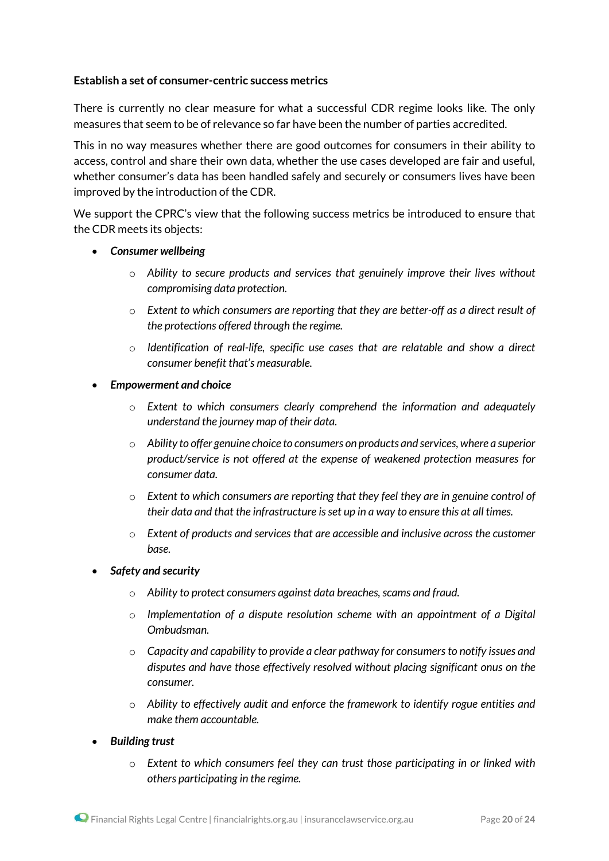#### **Establish a set of consumer-centric success metrics**

There is currently no clear measure for what a successful CDR regime looks like. The only measures that seem to be of relevance so far have been the number of parties accredited.

This in no way measures whether there are good outcomes for consumers in their ability to access, control and share their own data, whether the use cases developed are fair and useful, whether consumer's data has been handled safely and securely or consumers lives have been improved by the introduction of the CDR.

We support the CPRC's view that the following success metrics be introduced to ensure that the CDR meets its objects:

- *Consumer wellbeing*
	- o *Ability to secure products and services that genuinely improve their lives without compromising data protection.*
	- o *Extent to which consumers are reporting that they are better-off as a direct result of the protections offered through the regime.*
	- o *Identification of real-life, specific use cases that are relatable and show a direct consumer benefit that's measurable.*
- *Empowerment and choice*
	- o *Extent to which consumers clearly comprehend the information and adequately understand the journey map of their data.*
	- o *Ability to offer genuine choice to consumers on products and services, where a superior product/service is not offered at the expense of weakened protection measures for consumer data.*
	- o *Extent to which consumers are reporting that they feel they are in genuine control of their data and that the infrastructure isset up in a way to ensure this at all times.*
	- o *Extent of products and services that are accessible and inclusive across the customer base.*
- *Safety and security*
	- o *Ability to protect consumers against data breaches, scams and fraud.*
	- o *Implementation of a dispute resolution scheme with an appointment of a Digital Ombudsman.*
	- o *Capacity and capability to provide a clear pathway for consumers to notify issues and disputes and have those effectively resolved without placing significant onus on the consumer.*
	- o *Ability to effectively audit and enforce the framework to identify rogue entities and make them accountable.*
- *Building trust*
	- o *Extent to which consumers feel they can trust those participating in or linked with others participating in the regime.*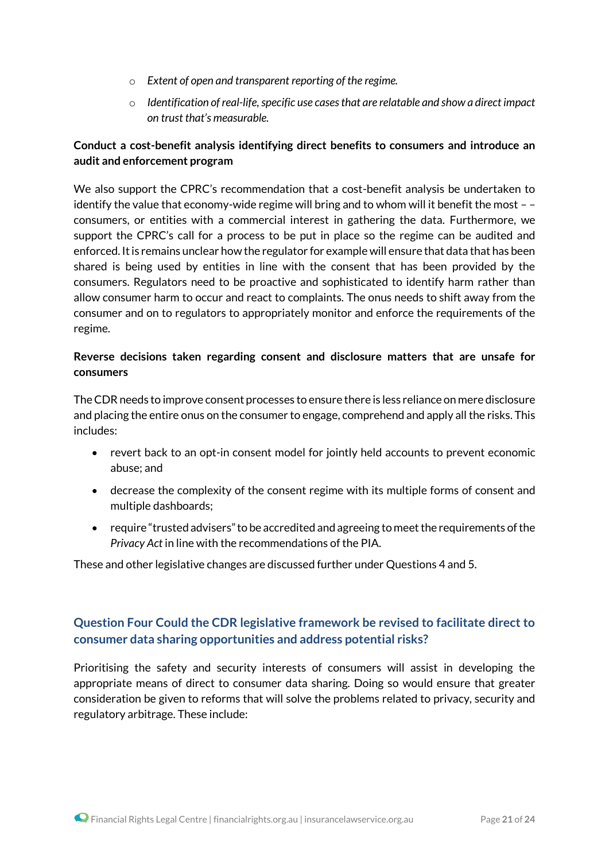- o *Extent of open and transparent reporting of the regime.*
- o *Identification ofreal-life,specific use casesthat are relatable and show a direct impact on trust that's measurable.*

# **Conduct a cost-benefit analysis identifying direct benefits to consumers and introduce an audit and enforcement program**

We also support the CPRC's recommendation that a cost-benefit analysis be undertaken to identify the value that economy-wide regime will bring and to whom will it benefit the most – – consumers, or entities with a commercial interest in gathering the data. Furthermore, we support the CPRC's call for a process to be put in place so the regime can be audited and enforced. It is remains unclear how the regulator for example will ensure that data that has been shared is being used by entities in line with the consent that has been provided by the consumers. Regulators need to be proactive and sophisticated to identify harm rather than allow consumer harm to occur and react to complaints. The onus needs to shift away from the consumer and on to regulators to appropriately monitor and enforce the requirements of the regime.

## **Reverse decisions taken regarding consent and disclosure matters that are unsafe for consumers**

The CDR needs to improve consent processes to ensure there is less reliance on mere disclosure and placing the entire onus on the consumer to engage, comprehend and apply all the risks. This includes:

- revert back to an opt-in consent model for jointly held accounts to prevent economic abuse; and
- decrease the complexity of the consent regime with its multiple forms of consent and multiple dashboards;
- require "trusted advisers"to be accredited and agreeing to meetthe requirements ofthe *Privacy Act* in line with the recommendations of the PIA.

These and other legislative changes are discussed further under Questions 4 and 5.

# **Question Four Could the CDR legislative framework be revised to facilitate direct to consumer data sharing opportunities and address potential risks?**

Prioritising the safety and security interests of consumers will assist in developing the appropriate means of direct to consumer data sharing. Doing so would ensure that greater consideration be given to reforms that will solve the problems related to privacy, security and regulatory arbitrage. These include: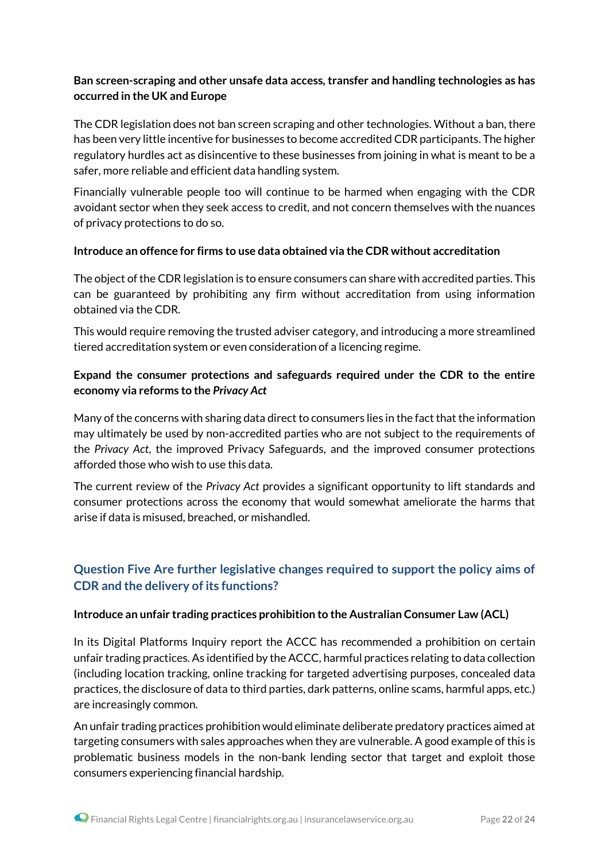# **Ban screen-scraping and other unsafe data access, transfer and handling technologies as has occurred in the UK and Europe**

The CDR legislation does not ban screen scraping and other technologies. Without a ban, there has been very little incentive for businesses to become accredited CDR participants. The higher regulatory hurdles act as disincentive to these businesses from joining in what is meant to be a safer, more reliable and efficient data handling system.

Financially vulnerable people too will continue to be harmed when engaging with the CDR avoidant sector when they seek access to credit, and not concern themselves with the nuances of privacy protections to do so.

#### **Introduce an offence for firms to use data obtained via the CDR without accreditation**

The object of the CDR legislation is to ensure consumers can share with accredited parties. This can be guaranteed by prohibiting any firm without accreditation from using information obtained via the CDR.

This would require removing the trusted adviser category, and introducing a more streamlined tiered accreditation system or even consideration of a licencing regime.

# **Expand the consumer protections and safeguards required under the CDR to the entire economy via reforms to the** *Privacy Act*

Many of the concerns with sharing data direct to consumers lies in the fact that the information may ultimately be used by non-accredited parties who are not subject to the requirements of the *Privacy Act*, the improved Privacy Safeguards, and the improved consumer protections afforded those who wish to use this data.

The current review of the *Privacy Act* provides a significant opportunity to lift standards and consumer protections across the economy that would somewhat ameliorate the harms that arise if data is misused, breached, or mishandled.

# **Question Five Are further legislative changes required to support the policy aims of CDR and the delivery of its functions?**

#### **Introduce an unfair trading practices prohibition to the Australian Consumer Law (ACL)**

In its Digital Platforms Inquiry report the ACCC has recommended a prohibition on certain unfair trading practices. As identified by the ACCC, harmful practices relating to data collection (including location tracking, online tracking for targeted advertising purposes, concealed data practices, the disclosure of data to third parties, dark patterns, online scams, harmful apps, etc.) are increasingly common.

An unfair trading practices prohibition would eliminate deliberate predatory practices aimed at targeting consumers with sales approaches when they are vulnerable. A good example of this is problematic business models in the non-bank lending sector that target and exploit those consumers experiencing financial hardship.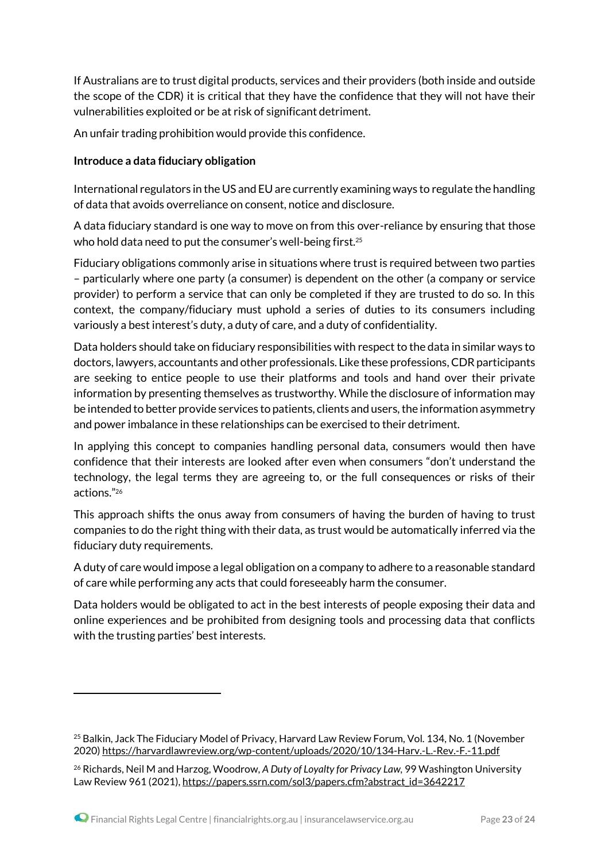If Australians are to trust digital products, services and their providers (both inside and outside the scope of the CDR) it is critical that they have the confidence that they will not have their vulnerabilities exploited or be at risk of significant detriment.

An unfair trading prohibition would provide this confidence.

#### **Introduce a data fiduciary obligation**

International regulators in the US and EU are currently examining ways to regulate the handling of data that avoids overreliance on consent, notice and disclosure.

A data fiduciary standard is one way to move on from this over-reliance by ensuring that those who hold data need to put the consumer's well-being first.<sup>25</sup>

Fiduciary obligations commonly arise in situations where trust is required between two parties – particularly where one party (a consumer) is dependent on the other (a company or service provider) to perform a service that can only be completed if they are trusted to do so. In this context, the company/fiduciary must uphold a series of duties to its consumers including variously a best interest's duty, a duty of care, and a duty of confidentiality.

Data holders should take on fiduciary responsibilities with respect to the data in similar ways to doctors, lawyers, accountants and other professionals. Like these professions, CDR participants are seeking to entice people to use their platforms and tools and hand over their private information by presenting themselves as trustworthy. While the disclosure of information may be intended to better provide services to patients, clients and users, the information asymmetry and power imbalance in these relationships can be exercised to their detriment.

In applying this concept to companies handling personal data, consumers would then have confidence that their interests are looked after even when consumers "don't understand the technology, the legal terms they are agreeing to, or the full consequences or risks of their actions."<sup>26</sup>

This approach shifts the onus away from consumers of having the burden of having to trust companies to do the right thing with their data, as trust would be automatically inferred via the fiduciary duty requirements.

A duty of care would impose a legal obligation on a company to adhere to a reasonable standard of care while performing any acts that could foreseeably harm the consumer.

Data holders would be obligated to act in the best interests of people exposing their data and online experiences and be prohibited from designing tools and processing data that conflicts with the trusting parties' best interests.

<sup>&</sup>lt;sup>25</sup> Balkin, Jack The Fiduciary Model of Privacy, Harvard Law Review Forum, Vol. 134, No. 1 (November 2020) <https://harvardlawreview.org/wp-content/uploads/2020/10/134-Harv.-L.-Rev.-F.-11.pdf>

<sup>26</sup> Richards, Neil M and Harzog, Woodrow, *A Duty of Loyalty for Privacy Law,* 99 Washington University Law Review 961 (2021), [https://papers.ssrn.com/sol3/papers.cfm?abstract\\_id=3642217](https://papers.ssrn.com/sol3/papers.cfm?abstract_id=3642217)